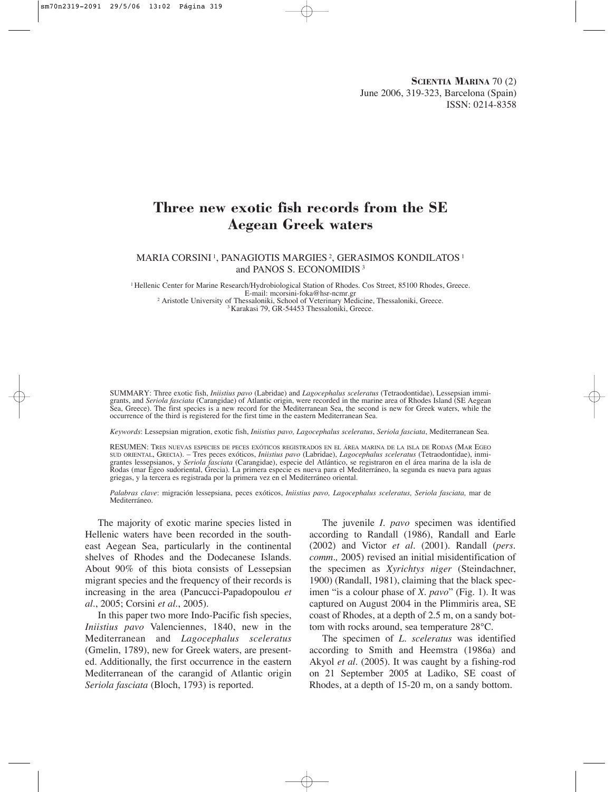# **Three new exotic fish records from the SE Aegean Greek waters**

MARIA CORSINI 1, PANAGIOTIS MARGIES 2, GERASIMOS KONDILATOS <sup>1</sup> and PANOS S. ECONOMIDIS <sup>3</sup>

<sup>1</sup> Hellenic Center for Marine Research/Hydrobiological Station of Rhodes. Cos Street, 85100 Rhodes, Greece.<br>E-mail: mcorsini-foka@hsr-ncmr.gr

<sup>2</sup> Aristotle University of Thessaloniki, School of Veterinary Medicine, Thessaloniki, Greece. <sup>3</sup> Karakasi 79, GR-54453 Thessaloniki, Greece.

SUMMARY: Three exotic fish, *Iniistius pavo* (Labridae) and *Lagocephalus sceleratus* (Tetraodontidae), Lessepsian immigrants, and *Seriola fasciata* (Carangidae) of Atlantic origin, were recorded in the marine area of Rhodes Island (SE Aegean Sea, Greece). The first species is a new record for the Mediterranean Sea, the second is new for Greek waters, while the occurrence of the third is registered for the first time in the eastern Mediterranean Sea.

*Keywords*: Lessepsian migration, exotic fish, *Iniistius pavo, Lagocephalus sceleratus*, *Seriola fasciata*, Mediterranean Sea.

RESUMEN: TRES NUEVAS ESPECIES DE PECES EXÓTICOS REGISTRADOS EN EL ÁREA MARINA DE LA ISLA DE RODAS (MAR EGEO SUD ORIENTAL, GRECIA). – Tres peces exóticos, *Iniistius pavo* (Labridae), *Lagocephalus sceleratus* (Tetraodontidae), inmigrantes lessepsianos, y *Seriola fasciata* (Carangidae), especie del Atlántico, se registraron en el área marina de la isla de Rodas (mar Egeo sudoriental, Grecia). La primera especie es nueva para el Mediterráneo, la segunda es nueva para aguas griegas, y la tercera es registrada por la primera vez en el Mediterráneo oriental.

*Palabras clave*: migración lessepsiana, peces exóticos, *Iniistius pavo, Lagocephalus sceleratus, Seriola fasciata,* mar de Mediterráneo.

The majority of exotic marine species listed in Hellenic waters have been recorded in the southeast Aegean Sea, particularly in the continental shelves of Rhodes and the Dodecanese Islands. About 90% of this biota consists of Lessepsian migrant species and the frequency of their records is increasing in the area (Pancucci-Papadopoulou *et al*., 2005; Corsini *et al*., 2005).

In this paper two more Indo-Pacific fish species, *Iniistius pavo* Valenciennes, 1840, new in the Mediterranean and *Lagocephalus sceleratus* (Gmelin, 1789), new for Greek waters, are presented. Additionally, the first occurrence in the eastern Mediterranean of the carangid of Atlantic origin *Seriola fasciata* (Bloch, 1793) is reported.

The juvenile *I. pavo* specimen was identified according to Randall (1986), Randall and Earle (2002) and Victor *et al*. (2001). Randall (*pers. comm.,* 2005) revised an initial misidentification of the specimen as *Xyrichtys niger* (Steindachner, 1900) (Randall, 1981), claiming that the black specimen "is a colour phase of *X. pavo*" (Fig. 1). It was captured on August 2004 in the Plimmiris area, SE coast of Rhodes, at a depth of 2.5 m, on a sandy bottom with rocks around, sea temperature 28°C.

The specimen of *L. sceleratus* was identified according to Smith and Heemstra (1986a) and Akyol *et al*. (2005). It was caught by a fishing-rod on 21 September 2005 at Ladiko, SE coast of Rhodes, at a depth of 15-20 m, on a sandy bottom.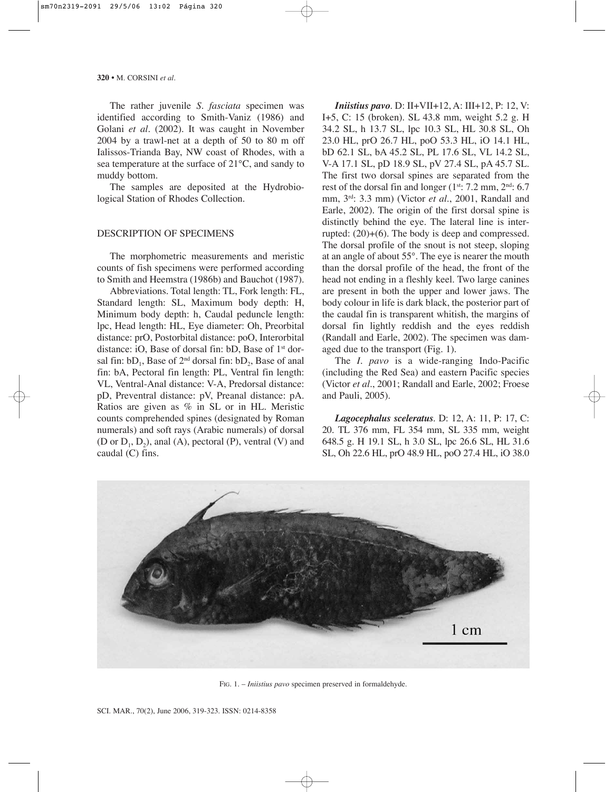The rather juvenile *S. fasciata* specimen was identified according to Smith-Vaniz (1986) and Golani *et al.* (2002). It was caught in November 2004 by a trawl-net at a depth of 50 to 80 m off Ialissos-Trianda Bay, NW coast of Rhodes, with a sea temperature at the surface of 21°C, and sandy to muddy bottom.

The samples are deposited at the Hydrobiological Station of Rhodes Collection.

#### DESCRIPTION OF SPECIMENS

The morphometric measurements and meristic counts of fish specimens were performed according to Smith and Heemstra (1986b) and Bauchot (1987).

Abbreviations. Total length: TL, Fork length: FL, Standard length: SL, Maximum body depth: H, Minimum body depth: h, Caudal peduncle length: lpc, Head length: HL, Eye diameter: Oh, Preorbital distance: prO, Postorbital distance: poO, Interorbital distance: iO, Base of dorsal fin: bD, Base of 1<sup>st</sup> dorsal fin:  $bD_1$ , Base of  $2<sup>nd</sup>$  dorsal fin:  $bD_2$ , Base of anal fin: bA, Pectoral fin length: PL, Ventral fin length: VL, Ventral-Anal distance: V-A, Predorsal distance: pD, Preventral distance: pV, Preanal distance: pA. Ratios are given as % in SL or in HL. Meristic counts comprehended spines (designated by Roman numerals) and soft rays (Arabic numerals) of dorsal (D or  $D_1$ ,  $D_2$ ), anal (A), pectoral (P), ventral (V) and caudal (C) fins.

*Iniistius pavo*. D: II+VII+12, A: III+12, P: 12, V: I+5, C: 15 (broken). SL 43.8 mm, weight 5.2 g. H 34.2 SL, h 13.7 SL, lpc 10.3 SL, HL 30.8 SL, Oh 23.0 HL, prO 26.7 HL, poO 53.3 HL, iO 14.1 HL, bD 62.1 SL, bA 45.2 SL, PL 17.6 SL, VL 14.2 SL, V-A 17.1 SL, pD 18.9 SL, pV 27.4 SL, pA 45.7 SL. The first two dorsal spines are separated from the rest of the dorsal fin and longer (1st: 7.2 mm, 2nd: 6.7) mm, 3rd: 3.3 mm) (Victor *et al*., 2001, Randall and Earle, 2002). The origin of the first dorsal spine is distinctly behind the eye. The lateral line is interrupted: (20)+(6). The body is deep and compressed. The dorsal profile of the snout is not steep, sloping at an angle of about 55°. The eye is nearer the mouth than the dorsal profile of the head, the front of the head not ending in a fleshly keel. Two large canines are present in both the upper and lower jaws. The body colour in life is dark black, the posterior part of the caudal fin is transparent whitish, the margins of dorsal fin lightly reddish and the eyes reddish (Randall and Earle, 2002). The specimen was damaged due to the transport (Fig. 1).

The *I. pavo* is a wide-ranging Indo-Pacific (including the Red Sea) and eastern Pacific species (Victor *et al*., 2001; Randall and Earle, 2002; Froese and Pauli, 2005).

*Lagocephalus sceleratus*. D: 12, A: 11, P: 17, C: 20. TL 376 mm, FL 354 mm, SL 335 mm, weight 648.5 g. H 19.1 SL, h 3.0 SL, lpc 26.6 SL, HL 31.6 SL, Oh 22.6 HL, prO 48.9 HL, poO 27.4 HL, iO 38.0



FIG. 1. – *Iniistius pavo* specimen preserved in formaldehyde.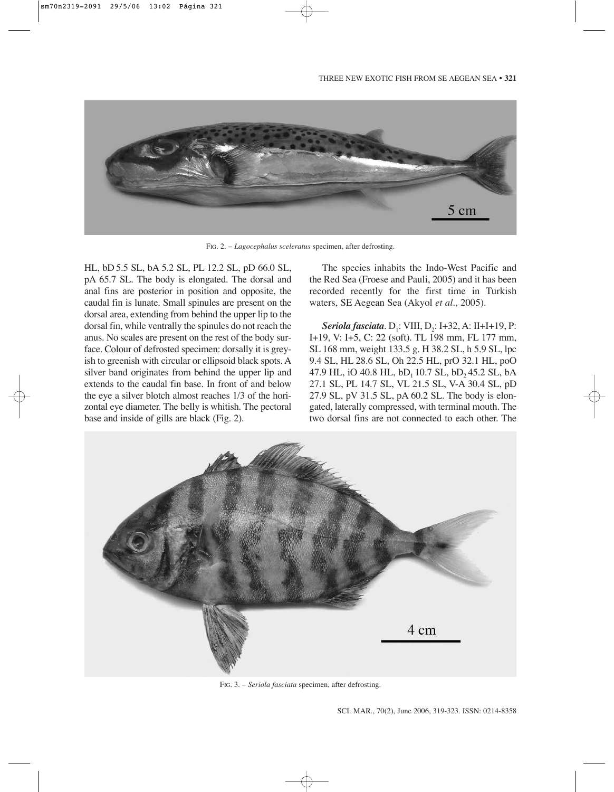

FIG. 2. – *Lagocephalus sceleratus* specimen, after defrosting.

HL, bD 5.5 SL, bA 5.2 SL, PL 12.2 SL, pD 66.0 SL, pA 65.7 SL. The body is elongated. The dorsal and anal fins are posterior in position and opposite, the caudal fin is lunate. Small spinules are present on the dorsal area, extending from behind the upper lip to the dorsal fin, while ventrally the spinules do not reach the anus. No scales are present on the rest of the body surface. Colour of defrosted specimen: dorsally it is greyish to greenish with circular or ellipsoid black spots. A silver band originates from behind the upper lip and extends to the caudal fin base. In front of and below the eye a silver blotch almost reaches 1/3 of the horizontal eye diameter. The belly is whitish. The pectoral base and inside of gills are black (Fig. 2).

The species inhabits the Indo-West Pacific and the Red Sea (Froese and Pauli, 2005) and it has been recorded recently for the first time in Turkish waters, SE Aegean Sea (Akyol *et al*., 2005).

*Seriola fasciata*. D<sub>1</sub>: VIII, D<sub>2</sub>: I+32, A: II+I+19, P: I+19, V: I+5, C: 22 (soft). TL 198 mm, FL 177 mm, SL 168 mm, weight 133.5 g. H 38.2 SL, h 5.9 SL, lpc 9.4 SL, HL 28.6 SL, Oh 22.5 HL, prO 32.1 HL, poO 47.9 HL, iO 40.8 HL,  $bD_1$  10.7 SL,  $bD_2$  45.2 SL,  $bA$ 27.1 SL, PL 14.7 SL, VL 21.5 SL, V-A 30.4 SL, pD 27.9 SL, pV 31.5 SL, pA 60.2 SL. The body is elongated, laterally compressed, with terminal mouth. The two dorsal fins are not connected to each other. The



FIG. 3. – *Seriola fasciata* specimen, after defrosting.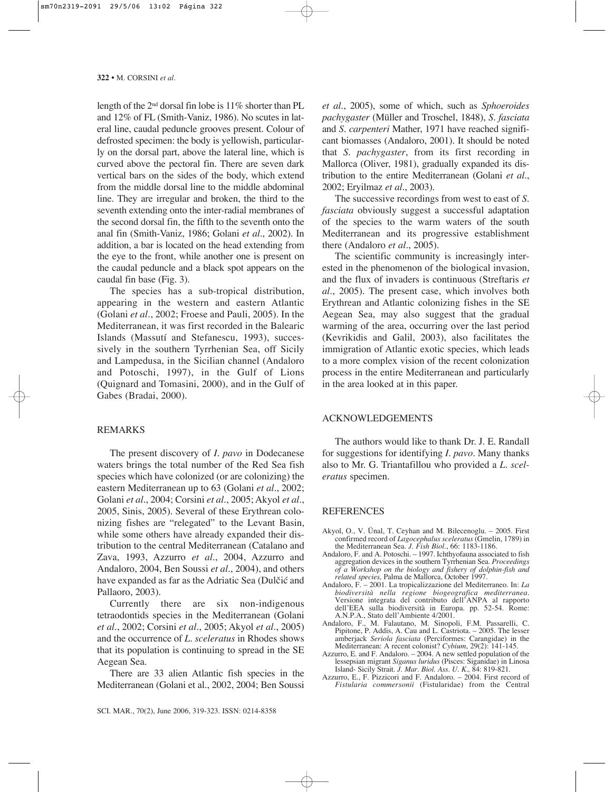length of the  $2<sup>nd</sup>$  dorsal fin lobe is 11% shorter than PL and 12% of FL (Smith-Vaniz, 1986). No scutes in lateral line, caudal peduncle grooves present. Colour of defrosted specimen: the body is yellowish, particularly on the dorsal part, above the lateral line, which is curved above the pectoral fin. There are seven dark vertical bars on the sides of the body, which extend from the middle dorsal line to the middle abdominal line. They are irregular and broken, the third to the seventh extending onto the inter-radial membranes of the second dorsal fin, the fifth to the seventh onto the anal fin (Smith-Vaniz, 1986; Golani *et al*., 2002). In addition, a bar is located on the head extending from the eye to the front, while another one is present on the caudal peduncle and a black spot appears on the caudal fin base (Fig. 3).

The species has a sub-tropical distribution, appearing in the western and eastern Atlantic (Golani *et al*., 2002; Froese and Pauli, 2005). In the Mediterranean, it was first recorded in the Balearic Islands (Massutí and Stefanescu, 1993), successively in the southern Tyrrhenian Sea, off Sicily and Lampedusa, in the Sicilian channel (Andaloro and Potoschi, 1997), in the Gulf of Lions (Quignard and Tomasini, 2000), and in the Gulf of Gabes (Bradai, 2000).

## REMARKS

The present discovery of *I. pavo* in Dodecanese waters brings the total number of the Red Sea fish species which have colonized (or are colonizing) the eastern Mediterranean up to 63 (Golani *et al*., 2002; Golani *et al*., 2004; Corsini *et al*., 2005; Akyol *et al*., 2005, Sinis, 2005). Several of these Erythrean colonizing fishes are "relegated" to the Levant Basin, while some others have already expanded their distribution to the central Mediterranean (Catalano and Zava, 1993, Azzurro *et al.*, 2004, Azzurro and Andaloro, 2004, Ben Soussi *et al*., 2004), and others have expanded as far as the Adriatic Sea (Dulčić and Pallaoro, 2003).

Currently there are six non-indigenous tetraodontids species in the Mediterranean (Golani *et al*., 2002; Corsini *et al.*, 2005; Akyol *et al*., 2005) and the occurrence of *L. sceleratus* in Rhodes shows that its population is continuing to spread in the SE Aegean Sea.

There are 33 alien Atlantic fish species in the Mediterranean (Golani et al., 2002, 2004; Ben Soussi *et al*., 2005), some of which, such as *Sphoeroides pachygaster* (Müller and Troschel, 1848), *S. fasciata* and *S. carpenteri* Mather, 1971 have reached significant biomasses (Andaloro, 2001). It should be noted that *S. pachygaster*, from its first recording in Mallorca (Oliver, 1981), gradually expanded its distribution to the entire Mediterranean (Golani *et al*., 2002; Eryilmaz *et al*., 2003).

The successive recordings from west to east of *S. fasciata* obviously suggest a successful adaptation of the species to the warm waters of the south Mediterranean and its progressive establishment there (Andaloro *et al*., 2005).

The scientific community is increasingly interested in the phenomenon of the biological invasion, and the flux of invaders is continuous (Streftaris *et al*., 2005). The present case, which involves both Erythrean and Atlantic colonizing fishes in the SE Aegean Sea, may also suggest that the gradual warming of the area, occurring over the last period (Kevrikidis and Galil, 2003), also facilitates the immigration of Atlantic exotic species, which leads to a more complex vision of the recent colonization process in the entire Mediterranean and particularly in the area looked at in this paper.

### ACKNOWLEDGEMENTS

The authors would like to thank Dr. J. E. Randall for suggestions for identifying *I. pavo.* Many thanks also to Mr. G. Triantafillou who provided a *L. sceleratus* specimen.

#### **REFERENCES**

- Akyol, O., V. Ünal, T. Ceyhan and M. Bilecenoglu. 2005. First confirmed record of *Lagocephalus sceleratus* (Gmelin, 1789) in the Mediterranean Sea. *J. Fish Biol.*, 66: 1183-1186.
- Andaloro, F. and A. Potoschi. 1997. Ichthyofauna associated to fish aggregation devices in the southern Tyrrhenian Sea. *Proceedings of a Workshop on the biology and fishery of dolphin-fish and related species,* Palma de Mallorca, October 1997.
- Andaloro, F. 2001. La tropicalizzazione del Mediterraneo. In: *La biodiversità nella regione biogeografica mediterranea.* Versione integrata del contributo dell'ANPA al rapporto dell'EEA sulla biodiversità in Europa. pp. 52-54. Rome: A.N.P.A., Stato dell'Ambiente 4/2001.
- Andaloro, F., M. Falautano, M. Sinopoli, F.M. Passarelli, C. Pipitone, P. Addis, A. Cau and L. Castriota. – 2005. The lesser amberjack *Seriola fasciata* (Perciformes: Carangidae) in the Mediterranean: A recent colonist? *Cybium*, 29(2): 141-145.
- Azzurro, E. and F. Andaloro. 2004. A new settled population of the lessepsian migrant *Siganus luridus* (Pisces: Siganidae) in Linosa Island- Sicily Strait. *J. Mar. Biol. Ass. U. K.,* 84: 819-821.
- Azzurro, E., F. Pizzicori and F. Andaloro. 2004. First record of *Fistularia commersonii* (Fistularidae) from the Central